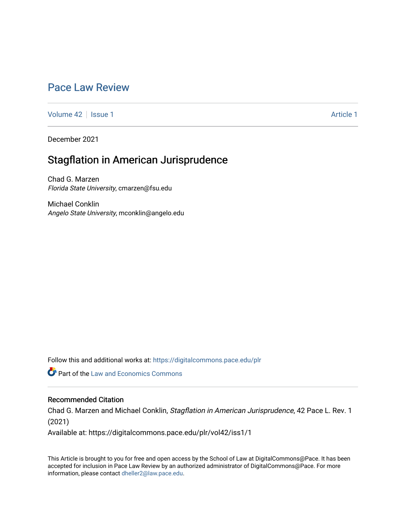# [Pace Law Review](https://digitalcommons.pace.edu/plr)

[Volume 42](https://digitalcommons.pace.edu/plr/vol42) | [Issue 1](https://digitalcommons.pace.edu/plr/vol42/iss1) Article 1

December 2021

# Stagflation in American Jurisprudence

Chad G. Marzen Florida State University, cmarzen@fsu.edu

Michael Conklin Angelo State University, mconklin@angelo.edu

Follow this and additional works at: [https://digitalcommons.pace.edu/plr](https://digitalcommons.pace.edu/plr?utm_source=digitalcommons.pace.edu%2Fplr%2Fvol42%2Fiss1%2F1&utm_medium=PDF&utm_campaign=PDFCoverPages)

**Part of the Law and Economics Commons** 

# Recommended Citation

Chad G. Marzen and Michael Conklin, Stagflation in American Jurisprudence, 42 Pace L. Rev. 1 (2021)

Available at: https://digitalcommons.pace.edu/plr/vol42/iss1/1

This Article is brought to you for free and open access by the School of Law at DigitalCommons@Pace. It has been accepted for inclusion in Pace Law Review by an authorized administrator of DigitalCommons@Pace. For more information, please contact [dheller2@law.pace.edu.](mailto:dheller2@law.pace.edu)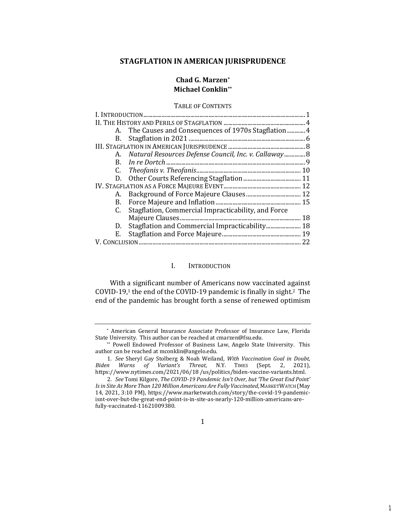# **STAGFLATION IN AMERICAN JURISPRUDENCE**

# **Chad G. Marzen\* Michael Conklin\*\***

# TABLE OF CONTENTS

| А. | The Causes and Consequences of 1970s Stagflation  4      |    |
|----|----------------------------------------------------------|----|
| B. |                                                          |    |
|    |                                                          |    |
|    | A. Natural Resources Defense Council, Inc. v. Callaway 8 |    |
|    |                                                          |    |
|    |                                                          |    |
|    |                                                          |    |
|    |                                                          |    |
|    |                                                          |    |
|    |                                                          |    |
| C. | Stagflation, Commercial Impracticability, and Force      |    |
|    |                                                          | 18 |
| D. |                                                          |    |
| Е. |                                                          |    |
|    |                                                          | 22 |

# <span id="page-1-0"></span>I. INTRODUCTION

With a significant number of Americans now vaccinated against COVID-19,<sup>1</sup> the end of the COVID-19 pandemic is finally in sight.2 The end of the pandemic has brought forth a sense of renewed optimism

1

<sup>\*</sup> American General Insurance Associate Professor of Insurance Law, Florida State University. This author can be reached at cmarzen@fsu.edu.

<sup>\*\*</sup> Powell Endowed Professor of Business Law, Angelo State University. This author can be reached at mconklin@angelo.edu.

<sup>1</sup>*. See* Sheryl Gay Stolberg & Noah Weiland, *With Vaccination Goal in Doubt, Biden Warns of Variant's Threat*, N.Y. TIMES (Sept. 2, 2021), https://www.nytimes.com/2021/06/18 /us/politics/biden-vaccine-variants.html.

<sup>2</sup>*. See* Tomi Kilgore, *The COVID-19 Pandemic Isn't Over, but 'The Great End Point' Is in Site As More Than 120 Million Americans Are Fully Vaccinated*, MARKETWATCH (May 14, 2021, 3:10 PM), https://www.marketwatch.com/story/the-covid-19-pandemicisnt-over-but-the-great-end-point-is-in-site-as-nearly-120-million-americans-arefully-vaccinated-11621009380.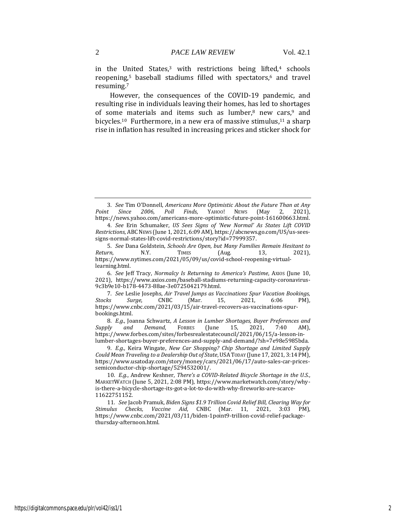in the United States, $3$  with restrictions being lifted, $4$  schools reopening,<sup>5</sup> baseball stadiums filled with spectators,<sup>6</sup> and travel resuming.<sup>7</sup>

However, the consequences of the COVID-19 pandemic, and resulting rise in individuals leaving their homes, has led to shortages of some materials and items such as lumber, $8$  new cars, $9$  and bicycles.<sup>10</sup> Furthermore, in a new era of massive stimulus,<sup>11</sup> a sharp rise in inflation has resulted in increasing prices and sticker shock for

<sup>3</sup>*. See* Tim O'Donnell, *Americans More Optimistic About the Future Than at Any Point Since 2006, Poll Finds*, YAHOO! NEWS (May 2, 2021), https://news.yahoo.com/americans-more-optimistic-future-point-161600663.html.

<sup>4</sup>*. See* Erin Schumaker, *US Sees Signs of 'New Normal' As States Lift COVID Restrictions*, ABCNEWS (June 1, 2021, 6:09 AM), https://abcnews.go.com/US/us-seessigns-normal-states-lift-covid-restrictions/story?id=77999357.

<sup>5</sup>*. See* Dana Goldstein, *Schools Are Open, but Many Families Remain Hesitant to Return*, **N.Y.** TIMES (Aug. 13, 2021), https://www.nytimes.com/2021/05/09/us/covid-school-reopening-virtuallearning.html.

<sup>6</sup>*. See* Jeff Tracy, *Normalcy Is Returning to America's Pastime*, AXIOS (June 10, 2021), https://www.axios.com/baseball-stadiums-returning-capacity-coronavirus-9c3b9e10-b178-4473-88ae-3e0725042179.html.

<sup>7</sup>*. See* Leslie Josephs, *Air Travel Jumps as Vaccinations Spur Vacation Bookings, Stocks Surge*, CNBC (Mar. 15, 2021, 6:06 PM), https://www.cnbc.com/2021/03/15/air-travel-recovers-as-vaccinations-spurbookings.html.

<sup>8</sup>*. E.g.*, Joanna Schwartz, *A Lesson in Lumber Shortages, Buyer Preferences and Supply and Demand*, FORBES (June 15, 2021, 7:40 AM), https://www.forbes.com/sites/forbesrealestatecouncil/2021/06/15/a-lesson-inlumber-shortages-buyer-preferences-and-supply-and-demand/?sh=7e98e5985bda.

<sup>9</sup>*. E.g.*, Keira Wingate, *New Car Shopping? Chip Shortage and Limited Supply Could Mean Traveling to a Dealership Out of State*, USATODAY (June 17, 2021, 3:14 PM), https://www.usatoday.com/story/money/cars/2021/06/17/auto-sales-car-pricessemiconductor-chip-shortage/5294532001/.

<sup>10</sup>*. E.g.*, Andrew Keshner, *There's a COVID-Related Bicycle Shortage in the U.S.*, MARKETWATCH (June 5, 2021, 2:08 PM), https://www.marketwatch.com/story/whyis-there-a-bicycle-shortage-its-got-a-lot-to-do-with-why-fireworks-are-scarce-11622751152.

<sup>11</sup>*. See* Jacob Pramuk, *Biden Signs \$1.9 Trillion Covid Relief Bill, Clearing Way for Stimulus Checks, Vaccine Aid*, CNBC (Mar. 11, 2021, 3:03 PM), https://www.cnbc.com/2021/03/11/biden-1point9-trillion-covid-relief-packagethursday-afternoon.html.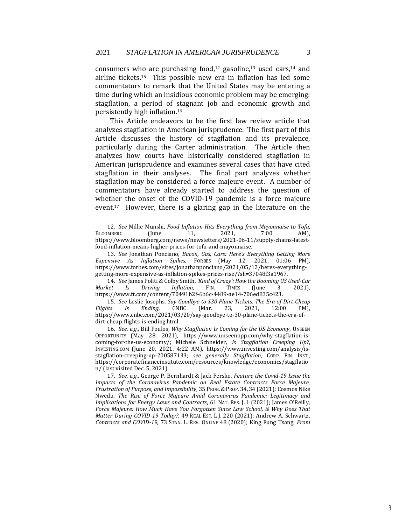consumers who are purchasing food,<sup>12</sup> gasoline,<sup>13</sup> used cars,<sup>14</sup> and airline tickets.15 This possible new era in inflation has led some commentators to remark that the United States may be entering a time during which an insidious economic problem may be emerging: stagflation, a period of stagnant job and economic growth and persistently high inflation.<sup>16</sup>

This Article endeavors to be the first law review article that analyzes stagflation in American jurisprudence. The first part of this Article discusses the history of stagflation and its prevalence, particularly during the Carter administration. The Article then analyzes how courts have historically considered stagflation in American jurisprudence and examines several cases that have cited stagflation in their analyses. The final part analyzes whether stagflation may be considered a force majeure event. A number of commentators have already started to address the question of whether the onset of the COVID-19 pandemic is a force majeure event.17 However, there is a glaring gap in the literature on the

14*. See* James Politi & Colby Smith, *'Kind of Crazy': How the Booming US Used-Car Market Is Driving Inflation*, FIN. TIMES (June 3, 2021), https://www.ft.com/content/70491b2f-6b6c-4489-ae14-706ed835c423.

15*. See* Leslie Josephs, *Say Goodbye to \$30 Plane Tickets. The Era of Dirt-Cheap Flights Is Ending*, CNBC (Mar. 23, 2021, 12:00 PM), https://www.cnbc.com/2021/03/20/say-goodbye-to-30-plane-tickets-the-era-ofdirt-cheap-flights-is-ending.html.

16*. See, e.g.*, Bill Poulos, *Why Stagflation Is Coming for the US Economy*, UNSEEN OPPORTUNITY (May 28, 2021), https://www.unseenopp.com/why-stagflation-iscoming-for-the-us-economy/; Michele Schneider, *Is Stagflation Creeping Up?*, INVESTING.COM (June 20, 2021, 4:22 AM), https://www.investing.com/analysis/isstagflation-creeping-up-200587133; *see generally Stagflation*, CORP. FIN. INST., https://corporatefinanceinstitute.com/resources/knowledge/economics/stagflatio n/ (last visited Dec. 5, 2021).

17*. See, e.g.*, George P. Bernhardt & Jack Fersko, *Feature the Covid-19 Issue the Impacts of the Coronavirus Pandemic on Real Estate Contracts Force Majeure, Frustration of Purpose, and Impossibility*, 35 PROB.&PROP. 34, 34 (2021); Cosmos Nike Nwedu, *The Rise of Force Majeure Amid Coronavirus Pandemic: Legitimacy and Implications for Energy Laws and Contracts*, 61 NAT. RES. *J.* 1 (2021); James O'Reilly, *Force Majeure: How Much Have You Forgotten Since Law School, & Why Does That Matter During COVID-19 Today?*, 49 REAL EST. L.J. 220 (2021); Andrew A. Schwartz, *Contracts and COVID-19*, 73 STAN. L. REV. ONLINE 48 (2020); King Fung Tsang, *From* 

<sup>12</sup>*. See* Millie Munshi, *Food Inflation Hits Everything from Mayonnaise to Tofu*, BLOOMBERG (June 11, 2021, 7:00 AM), https://www.bloomberg.com/news/newsletters/2021-06-11/supply-chains-latestfood-inflation-means-higher-prices-for-tofu-and-mayonnaise.

<sup>13</sup>*. See* Jonathan Ponciano, *Bacon, Gas, Cars: Here's Everything Getting More Expensive As Inflation Spikes*, FORBES (May 12, 2021, 01:06 PM), https://www.forbes.com/sites/jonathanponciano/2021/05/12/heres-everythinggetting-more-expensive-as-inflation-spikes-prices-rise/?sh=37048f3a1967.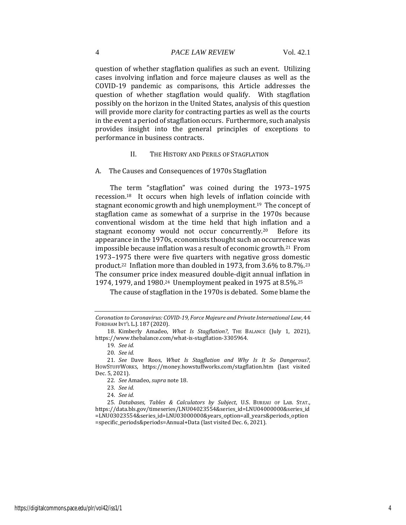question of whether stagflation qualifies as such an event. Utilizing cases involving inflation and force majeure clauses as well as the COVID-19 pandemic as comparisons, this Article addresses the question of whether stagflation would qualify. With stagflation possibly on the horizon in the United States, analysis of this question will provide more clarity for contracting parties as well as the courts in the event a period of stagflation occurs. Furthermore, such analysis provides insight into the general principles of exceptions to performance in business contracts.

#### <span id="page-4-0"></span>II. THE HISTORY AND PERILS OF STAGFLATION

<span id="page-4-1"></span>A. The Causes and Consequences of 1970s Stagflation

The term "stagflation" was coined during the 1973–1975 recession.18 It occurs when high levels of inflation coincide with stagnant economic growth and high unemployment.19 The concept of stagflation came as somewhat of a surprise in the 1970s because conventional wisdom at the time held that high inflation and a stagnant economy would not occur concurrently.20 Before its appearance in the 1970s, economists thought such an occurrence was impossible because inflation was a result of economic growth.21 From 1973–1975 there were five quarters with negative gross domestic product.22 Inflation more than doubled in 1973, from 3.6% to 8.7%.<sup>23</sup> The consumer price index measured double-digit annual inflation in 1974, 1979, and 1980.24 Unemployment peaked in 1975 at 8.5%.<sup>25</sup>

The cause of stagflation in the 1970s is debated. Some blame the

*Coronation to Coronavirus: COVID-19, Force Majeure and Private International Law*, 44 FORDHAM INT'L L.J. 187 (2020).

<sup>18.</sup> Kimberly Amadeo, *What Is Stagflation?*, THE BALANCE (July 1, 2021), https://www.thebalance.com/what-is-stagflation-3305964.

<sup>19</sup>*. See id.*

<sup>20</sup>*. See id.*

<sup>21</sup>*. See* Dave Roos, *What Is Stagflation and Why Is It So Dangerous?*, HOWSTUFFWORKS, https://money.howstuffworks.com/stagflation.htm (last visited Dec. 5, 2021).

<sup>22</sup>*. See* Amadeo, *supra* note 18.

<sup>23</sup>*. See id.*

<sup>24</sup>*. See id.*

<sup>25</sup>*. Databases, Tables & Calculators by Subject*, U.S. BUREAU OF LAB. STAT., https://data.bls.gov/timeseries/LNU04023554&series\_id=LNU04000000&series\_id =LNU03023554&series\_id=LNU03000000&years\_option=all\_years&periods\_option =specific\_periods&periods=Annual+Data (last visited Dec. 6, 2021).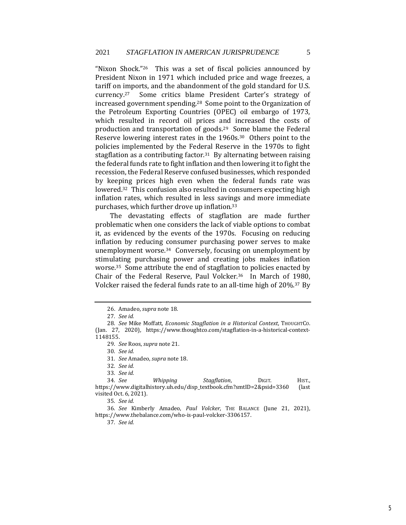"Nixon Shock."26 This was a set of fiscal policies announced by President Nixon in 1971 which included price and wage freezes, a tariff on imports, and the abandonment of the gold standard for U.S. currency.<sup>27</sup> Some critics blame President Carter's strategy of increased government spending.28 Some point to the Organization of the Petroleum Exporting Countries (OPEC) oil embargo of 1973, which resulted in record oil prices and increased the costs of production and transportation of goods.29 Some blame the Federal Reserve lowering interest rates in the 1960s.30 Others point to the policies implemented by the Federal Reserve in the 1970s to fight stagflation as a contributing factor.<sup>31</sup> By alternating between raising the federal funds rate to fight inflation and then lowering it to fight the recession, the Federal Reserve confused businesses, which responded by keeping prices high even when the federal funds rate was lowered.32 This confusion also resulted in consumers expecting high inflation rates, which resulted in less savings and more immediate purchases, which further drove up inflation.<sup>33</sup>

The devastating effects of stagflation are made further problematic when one considers the lack of viable options to combat it, as evidenced by the events of the 1970s. Focusing on reducing inflation by reducing consumer purchasing power serves to make unemployment worse.34 Conversely, focusing on unemployment by stimulating purchasing power and creating jobs makes inflation worse.35 Some attribute the end of stagflation to policies enacted by Chair of the Federal Reserve, Paul Volcker.36 In March of 1980, Volcker raised the federal funds rate to an all-time high of 20%.37 By

31*. See* Amadeo, *supra* note 18.

32*. See id.*

35*. See id.*

36*. See* Kimberly Amadeo, *Paul Volcker*, THE BALANCE (June 21, 2021), https://www.thebalance.com/who-is-paul-volcker-3306157.

37*. See id.*

<sup>26.</sup> Amadeo, *supra* note 18.

<sup>27</sup>*. See id.*

<sup>28</sup>*. See* Mike Moffatt, *Economic Stagflation in a Historical Context*, THOUGHTCO. (Jan. 27, 2020), https://www.thoughtco.com/stagflation-in-a-historical-context-1148155.

<sup>29</sup>*. See* Roos, *supra* note 21.

<sup>30</sup>*. See id.*

<sup>33</sup>*. See id.*

<sup>34</sup>*. See Whipping Stagflation*, DIGIT. HIST., https://www.digitalhistory.uh.edu/disp\_textbook.cfm?smtID=2&psid=3360 (last visited Oct. 6, 2021).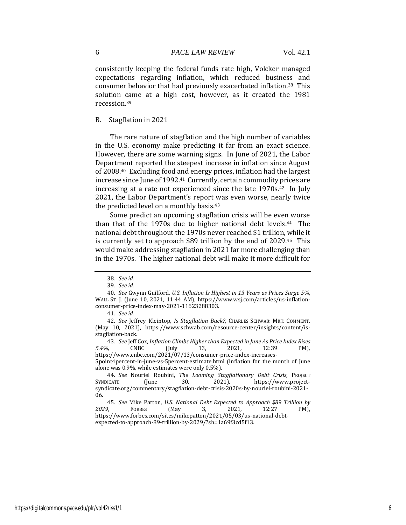consistently keeping the federal funds rate high, Volcker managed expectations regarding inflation, which reduced business and consumer behavior that had previously exacerbated inflation.38 This solution came at a high cost, however, as it created the 1981 recession.<sup>39</sup>

# <span id="page-6-0"></span>B. Stagflation in 2021

The rare nature of stagflation and the high number of variables in the U.S. economy make predicting it far from an exact science. However, there are some warning signs. In June of 2021, the Labor Department reported the steepest increase in inflation since August of 2008.40 Excluding food and energy prices, inflation had the largest increase since June of 1992.<sup>41</sup> Currently, certain commodity prices are increasing at a rate not experienced since the late 1970s.<sup>42</sup> In July 2021, the Labor Department's report was even worse, nearly twice the predicted level on a monthly basis.<sup>43</sup>

Some predict an upcoming stagflation crisis will be even worse than that of the 1970s due to higher national debt levels.<sup>44</sup> The national debt throughout the 1970s never reached \$1 trillion, while it is currently set to approach \$89 trillion by the end of 2029.45 This would make addressing stagflation in 2021 far more challenging than in the 1970s. The higher national debt will make it more difficult for

43*. See* Jeff Cox, *Inflation Climbs Higher than Expected in June As Price Index Rises 5.4%*, CNBC (July 13, 2021, 12:39 PM), https://www.cnbc.com/2021/07/13/consumer-price-index-increases-

5point4percent-in-june-vs-5percent-estimate.html (inflation for the month of June alone was 0.9%, while estimates were only 0.5%).

<sup>38</sup>*. See id.*

<sup>39</sup>*. See id.*

<sup>40</sup>*. See* Gwynn Guilford, *U.S. Inflation Is Highest in 13 Years as Prices Surge 5%*, WALL ST. J. (June 10, 2021, 11:44 AM), https://www.wsj.com/articles/us-inflationconsumer-price-index-may-2021-11623288303.

<sup>41</sup>*. See id.*

<sup>42</sup>*. See* Jeffrey Kleintop, *Is Stagflation Back?*, CHARLES SCHWAB: MKT. COMMENT. (May 10, 2021), https://www.schwab.com/resource-center/insights/content/isstagflation-back.

<sup>44</sup>*. See* Nouriel Roubini, *The Looming Stagflationary Debt Crisis*, PROJECT SYNDICATE (June 30, 2021), https://www.projectsyndicate.org/commentary/stagflation-debt-crisis-2020s-by-nouriel-roubini-2021- 06.

<sup>45</sup>*. See* Mike Patton, *U.S. National Debt Expected to Approach \$89 Trillion by 2029*, FORBES (May 3, 2021, 12:27 PM), https://www.forbes.com/sites/mikepatton/2021/05/03/us-national-debtexpected-to-approach-89-trillion-by-2029/?sh=1a69f3cd5f13.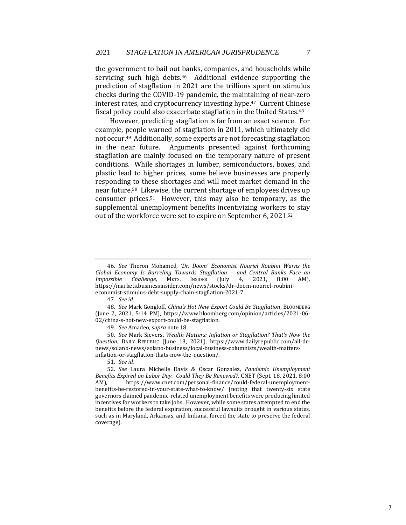the government to bail out banks, companies, and households while servicing such high debts.<sup>46</sup> Additional evidence supporting the prediction of stagflation in 2021 are the trillions spent on stimulus checks during the COVID-19 pandemic, the maintaining of near-zero interest rates, and cryptocurrency investing hype.47 Current Chinese fiscal policy could also exacerbate stagflation in the United States.<sup>48</sup>

However, predicting stagflation is far from an exact science. For example, people warned of stagflation in 2011, which ultimately did not occur.49 Additionally, some experts are not forecasting stagflation in the near future. Arguments presented against forthcoming stagflation are mainly focused on the temporary nature of present conditions. While shortages in lumber, semiconductors, boxes, and plastic lead to higher prices, some believe businesses are properly responding to these shortages and will meet market demand in the near future.50 Likewise, the current shortage of employees drives up consumer prices.51 However, this may also be temporary, as the supplemental unemployment benefits incentivizing workers to stay out of the workforce were set to expire on September 6, 2021.<sup>52</sup>

<sup>46</sup>*. See* Theron Mohamed, *'Dr. Doom' Economist Nouriel Roubini Warns the Global Economy Is Barreling Towards Stagflation – and Central Banks Face an Impossible Challenge*, MKTS. INSIDER (July 4, 2021, 8:00 AM), https://markets.businessinsider.com/news/stocks/dr-doom-nouriel-roubinieconomist-stimulus-debt-supply-chain-stagflation-2021-7.

<sup>47</sup>*. See id.*

<sup>48</sup>*. See* Mark Gongloff, *China's Hot New Export Could Be Stagflation*, BLOOMBERG (June 2, 2021, 5:14 PM), https://www.bloomberg.com/opinion/articles/2021-06- 02/china-s-hot-new-export-could-be-stagflation.

<sup>49</sup>*. See* Amadeo, *supra* note 18.

<sup>50</sup>*. See* Mark Sievers, *Wealth Matters: Inflation or Stagflation? That's Now the Question*, DAILY REPUBLIC (June 13, 2021), https://www.dailyrepublic.com/all-drnews/solano-news/solano-business/local-business-columnists/wealth-mattersinflation-or-stagflation-thats-now-the-question/.

<sup>51</sup>*. See id.*

<sup>52</sup>*. See* Laura Michelle Davis & Oscar Gonzalez, *Pandemic Unemployment Benefits Expired on Labor Day. Could They Be Renewed?*, CNET (Sept. 18, 2021, 8:00 AM), https://www.cnet.com/personal-finance/could-federal-unemploymentbenefits-be-restored-in-your-state-what-to-know/ (noting that twenty-six state governors claimed pandemic-related unemployment benefits were producing limited incentives for workers to take jobs. However, while some states attempted to end the benefits before the federal expiration, successful lawsuits brought in various states, such as in Maryland, Arkansas, and Indiana, forced the state to preserve the federal coverage).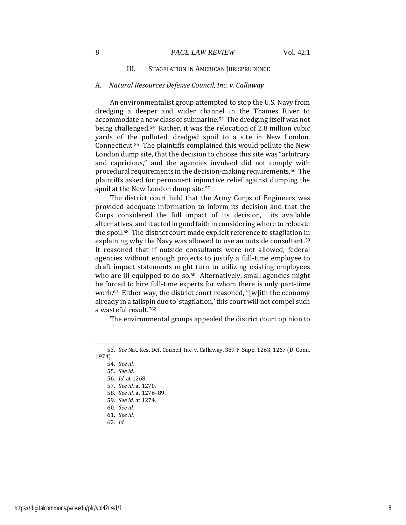## 8 *PACE LAW REVIEW* Vol. 42.1

# <span id="page-8-0"></span>III. STAGFLATION IN AMERICAN JURISPRUDENCE

#### <span id="page-8-1"></span>A. *Natural Resources Defense Council, Inc. v. Callaway*

An environmentalist group attempted to stop the U.S. Navy from dredging a deeper and wider channel in the Thames River to accommodate a new class of submarine.53 The dredging itself was not being challenged.54 Rather, it was the relocation of 2.8 million cubic yards of the polluted, dredged spoil to a site in New London, Connecticut.55 The plaintiffs complained this would pollute the New London dump site, that the decision to choose this site was "arbitrary and capricious," and the agencies involved did not comply with procedural requirements in the decision-making requirements.56 The plaintiffs asked for permanent injunctive relief against dumping the spoil at the New London dump site.<sup>57</sup>

The district court held that the Army Corps of Engineers was provided adequate information to inform its decision and that the Corps considered the full impact of its decision, its available alternatives, and it acted in good faith in considering where to relocate the spoil.58 The district court made explicit reference to stagflation in explaining why the Navy was allowed to use an outside consultant.<sup>59</sup> It reasoned that if outside consultants were not allowed, federal agencies without enough projects to justify a full-time employee to draft impact statements might turn to utilizing existing employees who are ill-equipped to do so.<sup>60</sup> Alternatively, small agencies might be forced to hire full-time experts for whom there is only part-time work.61 Either way, the district court reasoned, "[w]ith the economy already in a tailspin due to 'stagflation,' this court will not compel such a wasteful result."<sup>62</sup>

The environmental groups appealed the district court opinion to

- 58*. See id.* at 1276–89.
- 59*. See id.* at 1274.

- 61*. See id.*
- 62*. Id.*

<sup>53</sup>*. See* Nat. Res. Def. Council, Inc. v. Callaway, 389 F. Supp. 1263, 1267 (D. Conn. 1974).

<sup>54</sup>*. See id.*

<sup>55</sup>*. See id.*

<sup>56</sup>*. Id.* at 1268.

<sup>57</sup>*. See id.* at 1270.

<sup>60</sup>*. See id.*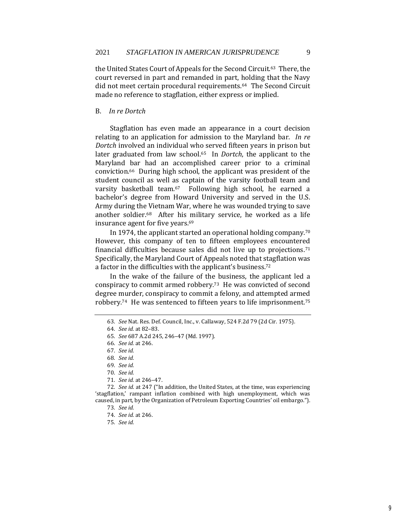the United States Court of Appeals for the Second Circuit.63 There, the court reversed in part and remanded in part, holding that the Navy did not meet certain procedural requirements.64 The Second Circuit made no reference to stagflation, either express or implied.

#### <span id="page-9-0"></span>B. *In re Dortch*

Stagflation has even made an appearance in a court decision relating to an application for admission to the Maryland bar. *In re Dortch* involved an individual who served fifteen years in prison but later graduated from law school.65 In *Dortch*, the applicant to the Maryland bar had an accomplished career prior to a criminal conviction.66 During high school, the applicant was president of the student council as well as captain of the varsity football team and varsity basketball team.67 Following high school, he earned a bachelor's degree from Howard University and served in the U.S. Army during the Vietnam War, where he was wounded trying to save another soldier.68 After his military service, he worked as a life insurance agent for five years.<sup>69</sup>

In 1974, the applicant started an operational holding company.<sup>70</sup> However, this company of ten to fifteen employees encountered financial difficulties because sales did not live up to projections.<sup>71</sup> Specifically, the Maryland Court of Appeals noted that stagflation was a factor in the difficulties with the applicant's business.<sup>72</sup>

In the wake of the failure of the business, the applicant led a conspiracy to commit armed robbery.73 He was convicted of second degree murder, conspiracy to commit a felony, and attempted armed robbery.<sup>74</sup> He was sentenced to fifteen years to life imprisonment.<sup>75</sup>

- 68*. See id.*
- 69*. See id.*
- 70*. See id.*
- 71*. See id.* at 246–47.

72*. See id.* at 247 ("In addition, the United States, at the time, was experiencing 'stagflation,' rampant inflation combined with high unemployment, which was caused, in part, by the Organization of Petroleum Exporting Countries' oil embargo.").

75*. See id.*

<sup>63</sup>*. See* Nat. Res. Def. Council, Inc., v. Callaway, 524 F.2d 79 (2d Cir. 1975).

<sup>64</sup>*. See id.* at 82–83.

<sup>65</sup>*. See* 687 A.2d 245, 246–47 (Md. 1997).

<sup>66</sup>*. See id.* at 246.

<sup>67</sup>*. See id.*

<sup>73</sup>*. See id.*

<sup>74</sup>*. See id.* at 246.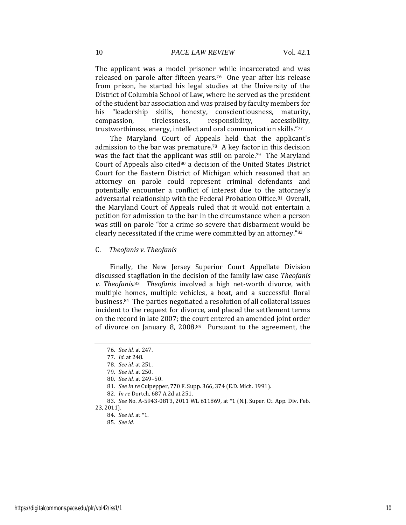The applicant was a model prisoner while incarcerated and was released on parole after fifteen years.76 One year after his release from prison, he started his legal studies at the University of the District of Columbia School of Law, where he served as the president of the student bar association and was praised by faculty members for his "leadership skills, honesty, conscientiousness, maturity, compassion, tirelessness, responsibility, accessibility, trustworthiness, energy, intellect and oral communication skills."<sup>77</sup>

The Maryland Court of Appeals held that the applicant's admission to the bar was premature.78 A key factor in this decision was the fact that the applicant was still on parole.79 The Maryland Court of Appeals also cited<sup>80</sup> a decision of the United States District Court for the Eastern District of Michigan which reasoned that an attorney on parole could represent criminal defendants and potentially encounter a conflict of interest due to the attorney's adversarial relationship with the Federal Probation Office.81 Overall, the Maryland Court of Appeals ruled that it would not entertain a petition for admission to the bar in the circumstance when a person was still on parole "for a crime so severe that disbarment would be clearly necessitated if the crime were committed by an attorney."<sup>82</sup>

## <span id="page-10-0"></span>C. *Theofanis v. Theofanis*

Finally, the New Jersey Superior Court Appellate Division discussed stagflation in the decision of the family law case *Theofanis*  v. Theofanis.<sup>83</sup> Theofanis involved a high net-worth divorce, with multiple homes, multiple vehicles, a boat, and a successful floral business.84 The parties negotiated a resolution of all collateral issues incident to the request for divorce, and placed the settlement terms on the record in late 2007; the court entered an amended joint order of divorce on January 8, 2008.85 Pursuant to the agreement, the

<sup>76</sup>*. See id.* at 247.

<sup>77</sup>*. Id.* at 248.

<sup>78</sup>*. See id.* at 251.

<sup>79</sup>*. See id.* at 250.

<sup>80</sup>*. See id.* at 249–50.

<sup>81</sup>*. See In re* Culpepper, 770 F. Supp. 366, 374 (E.D. Mich. 1991).

<sup>82</sup>*. In re* Dortch, 687 A.2d at 251.

<sup>83</sup>*. See* No. A-5943-08T3, 2011 WL 611869, at \*1 (N.J. Super. Ct. App. Div. Feb. 23, 2011).

<sup>84</sup>*. See id.* at \*1.

<sup>85</sup>*. See id.*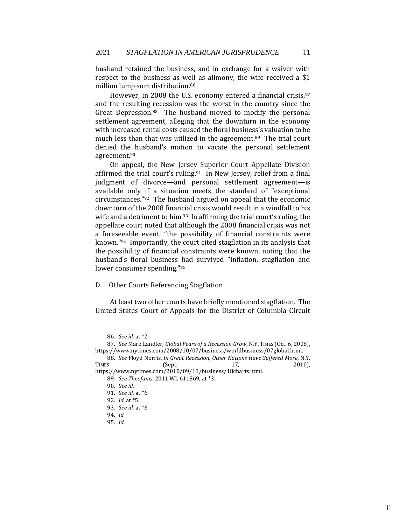husband retained the business, and in exchange for a waiver with respect to the business as well as alimony, the wife received a \$1 million lump sum distribution.<sup>86</sup>

However, in 2008 the U.S. economy entered a financial crisis, 87 and the resulting recession was the worst in the country since the Great Depression.88 The husband moved to modify the personal settlement agreement, alleging that the downturn in the economy with increased rental costs caused the floral business's valuation to be much less than that was utilized in the agreement.<sup>89</sup> The trial court denied the husband's motion to vacate the personal settlement agreement.<sup>90</sup>

On appeal, the New Jersey Superior Court Appellate Division affirmed the trial court's ruling.<sup>91</sup> In New Jersey, relief from a final judgment of divorce—and personal settlement agreement—is available only if a situation meets the standard of "exceptional circumstances."92 The husband argued on appeal that the economic downturn of the 2008 financial crisis would result in a windfall to his wife and a detriment to him.<sup>93</sup> In affirming the trial court's ruling, the appellate court noted that although the 2008 financial crisis was not a foreseeable event, "the possibility of financial constraints were known."94 Importantly, the court cited stagflation in its analysis that the possibility of financial constraints were known, noting that the husband's floral business had survived "inflation, stagflation and lower consumer spending."<sup>95</sup>

# <span id="page-11-0"></span>D. Other Courts Referencing Stagflation

At least two other courts have briefly mentioned stagflation. The United States Court of Appeals for the District of Columbia Circuit

<sup>86</sup>*. See id.* at \*2.

<sup>87</sup>*. See* Mark Landler, *Global Fears of a Recession Grow*, N.Y. TIMES (Oct. 6, 2008), https://www.nytimes.com/2008/10/07/business/worldbusiness/07global.html.

<sup>88</sup>*. See* Floyd Norris, *In Great Recession, Other Nations Have Suffered More*, N.Y. TIMES (Sept. 17, 2010),

https://www.nytimes.com/2010/09/18/business/18charts.html. 89*. See Theofanis*, 2011 WL 611869, at \*3.

<sup>90</sup>*. See id.*

<sup>91</sup>*. See id.* at \*6.

<sup>92</sup>*. Id.* at \*5.

<sup>93</sup>*. See id.* at \*6.

<sup>94</sup>*. Id.*

<sup>95</sup>*. Id.*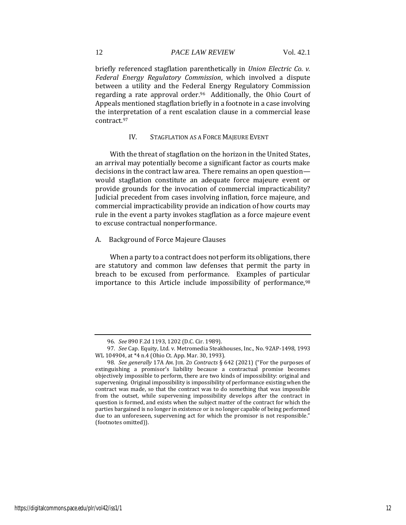briefly referenced stagflation parenthetically in *Union Electric Co. v. Federal Energy Regulatory Commission*, which involved a dispute between a utility and the Federal Energy Regulatory Commission regarding a rate approval order.96 Additionally, the Ohio Court of Appeals mentioned stagflation briefly in a footnote in a case involving the interpretation of a rent escalation clause in a commercial lease contract.<sup>97</sup>

## <span id="page-12-0"></span>IV. STAGFLATION AS A FORCE MAJEURE EVENT

With the threat of stagflation on the horizon in the United States, an arrival may potentially become a significant factor as courts make decisions in the contract law area. There remains an open question would stagflation constitute an adequate force majeure event or provide grounds for the invocation of commercial impracticability? Judicial precedent from cases involving inflation, force majeure, and commercial impracticability provide an indication of how courts may rule in the event a party invokes stagflation as a force majeure event to excuse contractual nonperformance.

## <span id="page-12-1"></span>A. Background of Force Majeure Clauses

When a party to a contract does not perform its obligations, there are statutory and common law defenses that permit the party in breach to be excused from performance. Examples of particular importance to this Article include impossibility of performance, 98

<sup>96</sup>*. See* 890 F.2d 1193, 1202 (D.C. Cir. 1989).

<sup>97</sup>*. See* Cap. Equity, Ltd. v. Metromedia Steakhouses, Inc., No. 92AP-1498, 1993 WL 104904, at \*4 n.4 (Ohio Ct. App. Mar. 30, 1993).

<sup>98</sup>*. See generally* 17A AM. JUR. 2D *Contracts* § 642 (2021) ("For the purposes of extinguishing a promisor's liability because a contractual promise becomes objectively impossible to perform, there are two kinds of impossibility: original and supervening. Original impossibility is impossibility of performance existing when the contract was made, so that the contract was to do something that was impossible from the outset, while supervening impossibility develops after the contract in question is formed, and exists when the subject matter of the contract for which the parties bargained is no longer in existence or is no longer capable of being performed due to an unforeseen, supervening act for which the promisor is not responsible." (footnotes omitted)).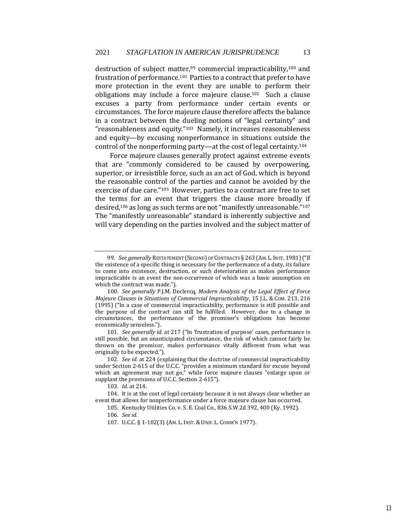destruction of subject matter,<sup>99</sup> commercial impracticability,<sup>100</sup> and frustration of performance.<sup>101</sup> Parties to a contract that prefer to have more protection in the event they are unable to perform their obligations may include a force majeure clause.102 Such a clause excuses a party from performance under certain events or circumstances. The force majeure clause therefore affects the balance in a contract between the dueling notions of "legal certainty" and "reasonableness and equity."103 Namely, it increases reasonableness and equity—by excusing nonperformance in situations outside the control of the nonperforming party—at the cost of legal certainty.<sup>104</sup>

Force majeure clauses generally protect against extreme events that are "commonly considered to be caused by overpowering, superior, or irresistible force, such as an act of God, which is beyond the reasonable control of the parties and cannot be avoided by the exercise of due care."105 However, parties to a contract are free to set the terms for an event that triggers the clause more broadly if desired,<sup>106</sup> as long as such terms are not "manifestly unreasonable."<sup>107</sup> The "manifestly unreasonable" standard is inherently subjective and will vary depending on the parties involved and the subject matter of

<sup>99</sup>*. See generally* RESTATEMENT (SECOND) OF CONTRACTS § 263 (AM.L.INST. 1981) ("If the existence of a specific thing is necessary for the performance of a duty, its failure to come into existence, destruction, or such deterioration as makes performance impracticable is an event the non-occurrence of which was a basic assumption on which the contract was made.").

<sup>100</sup>*. See generally* P.J.M. Declercq, *Modern Analysis of the Legal Effect of Force Majeure Clauses in Situations of Commercial Impracticability*, 15 J.L. & COM. 213, 216 (1995) ("In a case of commercial impracticability, performance is still possible and the purpose of the contract can still be fulfilled. However, due to a change in circumstances, the performance of the promisor's obligations has become economically senseless.").

<sup>101</sup>*. See generally id.* at 217 ("In 'frustration of purpose' cases, performance is still possible, but an unanticipated circumstance, the risk of which cannot fairly be thrown on the promisor, makes performance vitally different from what was originally to be expected.").

<sup>102</sup>*. See id.* at 224 (explaining that the doctrine of commercial impracticability under Section 2-615 of the U.C.C. "provides a minimum standard for excuse beyond which an agreement may not go," while force majeure clauses "enlarge upon or supplant the provisions of U.C.C. Section 2-615").

<sup>103</sup>*. Id.* at 214.

<sup>104.</sup> It is at the cost of legal certainty because it is not always clear whether an event that allows for nonperformance under a force majeure clause has occurred.

<sup>105.</sup> Kentucky Utilities Co. v. S. E. Coal Co., 836 S.W.2d 392, 400 (Ky. 1992).

<sup>106</sup>*. See id.*

<sup>107.</sup> U.C.C. § 1-102(3) (AM. L. INST.& UNIF. L. COMM'N 1977).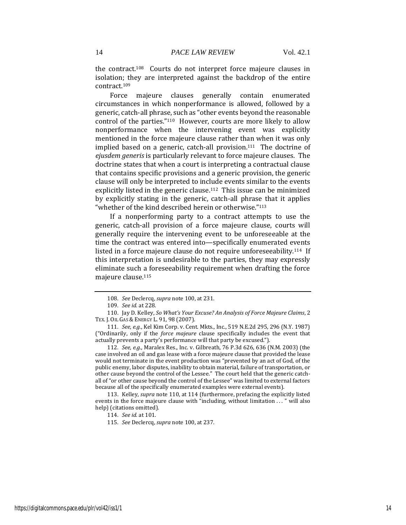the contract.108 Courts do not interpret force majeure clauses in isolation; they are interpreted against the backdrop of the entire contract.<sup>109</sup>

Force majeure clauses generally contain enumerated circumstances in which nonperformance is allowed, followed by a generic, catch-all phrase, such as "other events beyond the reasonable control of the parties."110 However, courts are more likely to allow nonperformance when the intervening event was explicitly mentioned in the force majeure clause rather than when it was only implied based on a generic, catch-all provision.111 The doctrine of *ejusdem generis* is particularly relevant to force majeure clauses. The doctrine states that when a court is interpreting a contractual clause that contains specific provisions and a generic provision, the generic clause will only be interpreted to include events similar to the events explicitly listed in the generic clause.<sup>112</sup> This issue can be minimized by explicitly stating in the generic, catch-all phrase that it applies "whether of the kind described herein or otherwise."<sup>113</sup>

If a nonperforming party to a contract attempts to use the generic, catch-all provision of a force majeure clause, courts will generally require the intervening event to be unforeseeable at the time the contract was entered into—specifically enumerated events listed in a force majeure clause do not require unforeseeability.114 If this interpretation is undesirable to the parties, they may expressly eliminate such a foreseeability requirement when drafting the force majeure clause.<sup>115</sup>

112*. See, e.g.*, Maralex Res., Inc. v. Gilbreath, 76 P.3d 626, 636 (N.M. 2003) (the case involved an oil and gas lease with a force majeure clause that provided the lease would not terminate in the event production was "prevented by an act of God, of the public enemy, labor disputes, inability to obtain material, failure of transportation, or other cause beyond the control of the Lessee." The court held that the generic catchall of "or other cause beyond the control of the Lessee" was limited to external factors because all of the specifically enumerated examples were external events).

113. Kelley, *supra* note 110, at 114 (furthermore, prefacing the explicitly listed events in the force majeure clause with "including, without limitation . . . " will also help) (citations omitted).

<sup>108</sup>*. See* Declercq, *supra* note 100, at 231.

<sup>109</sup>*. See id.* at 228.

<sup>110.</sup> Jay D. Kelley, *So What's Your Excuse? An Analysis of Force Majeure Claims*, 2 TEX. J. OIL GAS & ENERGY L. 91, 98 (2007).

<sup>111</sup>*. See, e.g.*, Kel Kim Corp. v. Cent. Mkts., Inc., 519 N.E.2d 295, 296 (N.Y. 1987) ("Ordinarily, only if the *force majeure* clause specifically includes the event that actually prevents a party's performance will that party be excused.").

<sup>114</sup>*. See id.* at 101.

<sup>115</sup>*. See* Declercq, *supra* note 100, at 237.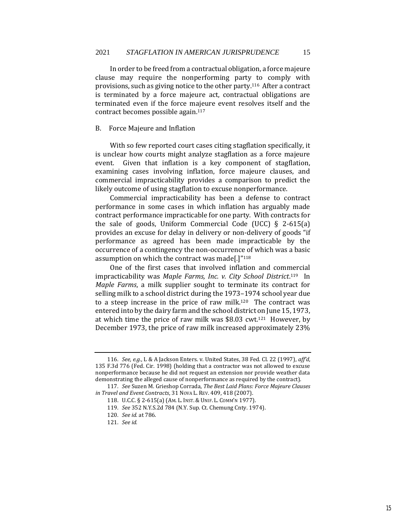In order to be freed from a contractual obligation, a force majeure clause may require the nonperforming party to comply with provisions, such as giving notice to the other party.116 After a contract is terminated by a force majeure act, contractual obligations are terminated even if the force majeure event resolves itself and the contract becomes possible again.<sup>117</sup>

# <span id="page-15-0"></span>B. Force Majeure and Inflation

With so few reported court cases citing stagflation specifically, it is unclear how courts might analyze stagflation as a force majeure event. Given that inflation is a key component of stagflation, examining cases involving inflation, force majeure clauses, and commercial impracticability provides a comparison to predict the likely outcome of using stagflation to excuse nonperformance.

Commercial impracticability has been a defense to contract performance in some cases in which inflation has arguably made contract performance impracticable for one party. With contracts for the sale of goods, Uniform Commercial Code (UCC) § 2-615(a) provides an excuse for delay in delivery or non-delivery of goods "if performance as agreed has been made impracticable by the occurrence of a contingency the non-occurrence of which was a basic assumption on which the contract was made[.]"<sup>118</sup>

One of the first cases that involved inflation and commercial impracticability was *Maple Farms, Inc. v. City School District*. <sup>119</sup> In *Maple Farms*, a milk supplier sought to terminate its contract for selling milk to a school district during the 1973–1974 school year due to a steep increase in the price of raw milk.120 The contract was entered into by the dairy farm and the school district on June 15, 1973, at which time the price of raw milk was \$8.03 cwt.121 However, by December 1973, the price of raw milk increased approximately 23%

<sup>116</sup>*. See, e.g.*, L & A Jackson Enters. v. United States, 38 Fed. Cl. 22 (1997), *aff'd*, 135 F.3d 776 (Fed. Cir. 1998) (holding that a contractor was not allowed to excuse nonperformance because he did not request an extension nor provide weather data demonstrating the alleged cause of nonperformance as required by the contract).

<sup>117</sup>*. See* Suzen M. Grieshop Corrada, *The Best Laid Plans: Force Majeure Clauses in Travel and Event Contracts*, 31 NOVA L. REV. 409, 418 (2007).

<sup>118.</sup> U.C.C. § 2-615(a) (AM. L. INST.& UNIF. L. COMM'N 1977).

<sup>119</sup>*. See* 352 N.Y.S.2d 784 (N.Y. Sup. Ct. Chemung Cnty. 1974).

<sup>120</sup>*. See id.* at 786.

<sup>121</sup>*. See id.*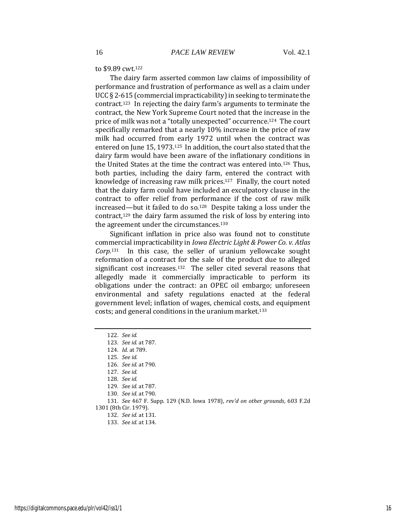#### to \$9.89 cwt.<sup>122</sup>

The dairy farm asserted common law claims of impossibility of performance and frustration of performance as well as a claim under UCC § 2-615 (commercial impracticability) in seeking to terminate the contract.<sup>123</sup> In rejecting the dairy farm's arguments to terminate the contract, the New York Supreme Court noted that the increase in the price of milk was not a "totally unexpected" occurrence.124 The court specifically remarked that a nearly 10% increase in the price of raw milk had occurred from early 1972 until when the contract was entered on June 15, 1973.125 In addition, the court also stated that the dairy farm would have been aware of the inflationary conditions in the United States at the time the contract was entered into.126 Thus, both parties, including the dairy farm, entered the contract with knowledge of increasing raw milk prices.<sup>127</sup> Finally, the court noted that the dairy farm could have included an exculpatory clause in the contract to offer relief from performance if the cost of raw milk increased—but it failed to do so.128 Despite taking a loss under the contract,<sup>129</sup> the dairy farm assumed the risk of loss by entering into the agreement under the circumstances.<sup>130</sup>

Significant inflation in price also was found not to constitute commercial impracticability in *Iowa Electric Light & Power Co. v. Atlas Corp.*131 In this case, the seller of uranium yellowcake sought reformation of a contract for the sale of the product due to alleged significant cost increases.132 The seller cited several reasons that allegedly made it commercially impracticable to perform its obligations under the contract: an OPEC oil embargo; unforeseen environmental and safety regulations enacted at the federal government level; inflation of wages, chemical costs, and equipment costs; and general conditions in the uranium market.<sup>133</sup>

122*. See id. . See id.* at 787. *. Id.* at 789. 125*. See id. . See id.* at 790. 127*. See id.* 128*. See id. . See id.* at 787. *. See id.* at 790. *. See* 467 F. Supp. 129 (N.D. Iowa 1978), *rev'd on other grounds*, 603 F.2d 1301 (8th Cir. 1979). *. See id.* at 131. *. See id.* at 134.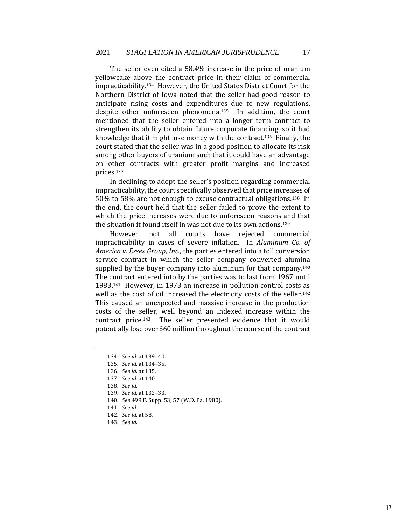The seller even cited a 58.4% increase in the price of uranium yellowcake above the contract price in their claim of commercial impracticability.134 However, the United States District Court for the Northern District of Iowa noted that the seller had good reason to anticipate rising costs and expenditures due to new regulations, despite other unforeseen phenomena.135 In addition, the court mentioned that the seller entered into a longer term contract to strengthen its ability to obtain future corporate financing, so it had knowledge that it might lose money with the contract.136 Finally, the court stated that the seller was in a good position to allocate its risk among other buyers of uranium such that it could have an advantage on other contracts with greater profit margins and increased prices.<sup>137</sup>

In declining to adopt the seller's position regarding commercial impracticability, the court specifically observed that price increases of 50% to 58% are not enough to excuse contractual obligations.138 In the end, the court held that the seller failed to prove the extent to which the price increases were due to unforeseen reasons and that the situation it found itself in was not due to its own actions.<sup>139</sup>

However, not all courts have rejected commercial impracticability in cases of severe inflation. In *Aluminum Co. of America v. Essex Group, Inc.*, the parties entered into a toll conversion service contract in which the seller company converted alumina supplied by the buyer company into aluminum for that company.<sup>140</sup> The contract entered into by the parties was to last from 1967 until 1983.141 However, in 1973 an increase in pollution control costs as well as the cost of oil increased the electricity costs of the seller.<sup>142</sup> This caused an unexpected and massive increase in the production costs of the seller, well beyond an indexed increase within the contract price.143 The seller presented evidence that it would potentially lose over \$60 million throughout the course of the contract

<sup>134</sup>*. See id.* at 139–40. 135*. See id.* at 134–35. 136*. See id.* at 135. 137*. See id.* at 140. 138*. See id.* 139*. See id.* at 132–33. 140*. See* 499 F. Supp. 53, 57 (W.D. Pa. 1980). 141*. See id.* 142*. See id.* at 58. 143*. See id.*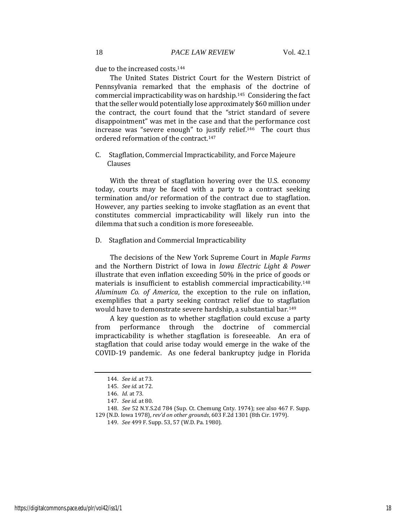due to the increased costs.<sup>144</sup>

The United States District Court for the Western District of Pennsylvania remarked that the emphasis of the doctrine of commercial impracticability was on hardship.145 Considering the fact that the seller would potentially lose approximately \$60 million under the contract, the court found that the "strict standard of severe disappointment" was met in the case and that the performance cost increase was "severe enough" to justify relief.146 The court thus ordered reformation of the contract.<sup>147</sup>

<span id="page-18-0"></span>C. Stagflation, Commercial Impracticability, and Force Majeure Clauses

With the threat of stagflation hovering over the U.S. economy today, courts may be faced with a party to a contract seeking termination and/or reformation of the contract due to stagflation. However, any parties seeking to invoke stagflation as an event that constitutes commercial impracticability will likely run into the dilemma that such a condition is more foreseeable.

<span id="page-18-1"></span>D. Stagflation and Commercial Impracticability

The decisions of the New York Supreme Court in *Maple Farms*  and the Northern District of Iowa in *Iowa Electric Light & Power* illustrate that even inflation exceeding 50% in the price of goods or materials is insufficient to establish commercial impracticability.<sup>148</sup> *Aluminum Co. of America*, the exception to the rule on inflation, exemplifies that a party seeking contract relief due to stagflation would have to demonstrate severe hardship, a substantial bar.<sup>149</sup>

A key question as to whether stagflation could excuse a party from performance through the doctrine of commercial impracticability is whether stagflation is foreseeable. An era of stagflation that could arise today would emerge in the wake of the COVID-19 pandemic. As one federal bankruptcy judge in Florida

<sup>144</sup>*. See id.* at 73.

<sup>145</sup>*. See id.* at 72.

<sup>146</sup>*. Id.* at 73.

<sup>147</sup>*. See id.* at 80.

<sup>148</sup>*. See* 52 N.Y.S.2d 784 (Sup. Ct. Chemung Cnty. 1974); see also 467 F. Supp. 129 (N.D. Iowa 1978), *rev'd on other grounds*, 603 F.2d 1301 (8th Cir. 1979).

<sup>149</sup>*. See* 499 F. Supp. 53, 57 (W.D. Pa. 1980).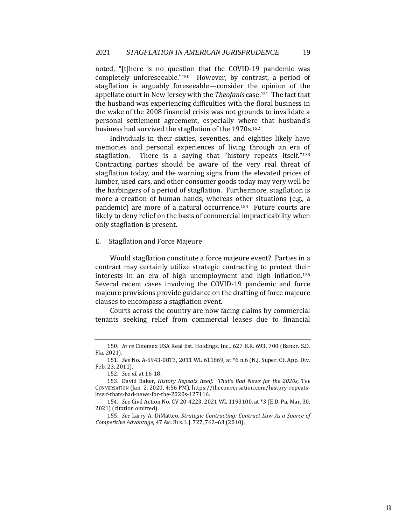noted, "[t]here is no question that the COVID-19 pandemic was completely unforeseeable."150 However, by contrast, a period of stagflation is arguably foreseeable—consider the opinion of the appellate court in New Jersey with the *Theofanis* case.151 The fact that the husband was experiencing difficulties with the floral business in the wake of the 2008 financial crisis was not grounds to invalidate a personal settlement agreement, especially where that husband's business had survived the stagflation of the 1970s.<sup>152</sup>

Individuals in their sixties, seventies, and eighties likely have memories and personal experiences of living through an era of stagflation. There is a saying that "history repeats itself."<sup>153</sup> Contracting parties should be aware of the very real threat of stagflation today, and the warning signs from the elevated prices of lumber, used cars, and other consumer goods today may very well be the harbingers of a period of stagflation. Furthermore, stagflation is more a creation of human hands, whereas other situations (e.g., a pandemic) are more of a natural occurrence.<sup>154</sup> Future courts are likely to deny relief on the basis of commercial impracticability when only stagflation is present.

# <span id="page-19-0"></span>E. Stagflation and Force Majeure

Would stagflation constitute a force majeure event? Parties in a contract may certainly utilize strategic contracting to protect their interests in an era of high unemployment and high inflation.<sup>155</sup> Several recent cases involving the COVID-19 pandemic and force majeure provisions provide guidance on the drafting of force majeure clauses to encompass a stagflation event.

Courts across the country are now facing claims by commercial tenants seeking relief from commercial leases due to financial

<sup>150</sup>*. In re* Cinemex USA Real Est. Holdings, Inc., 627 B.R. 693, 700 (Bankr. S.D. Fla. 2021).

<sup>151</sup>*. See* No. A-5943-08T3, 2011 WL 611869, at \*6 n.6 (N.J. Super. Ct. App. Div. Feb. 23, 2011).

<sup>152</sup>*. See id.* at 16-18.

<sup>153.</sup> David Baker, *History Repeats Itself. That's Bad News for the 2020s*, THE CONVERSATION (Jan. 2, 2020, 4:56 PM), https://theconversation.com/history-repeatsitself-thats-bad-news-for-the-2020s-127116.

<sup>154</sup>*. See* Civil Action No. CV 20-4223, 2021 WL 1193100, at \*3 (E.D. Pa. Mar. 30, 2021) (citation omitted).

<sup>155</sup>*. See* Larry A. DiMatteo, *Strategic Contracting: Contract Law As a Source of Competitive Advantage*, 47 AM. BUS. L.J. 727, 762–63 (2010).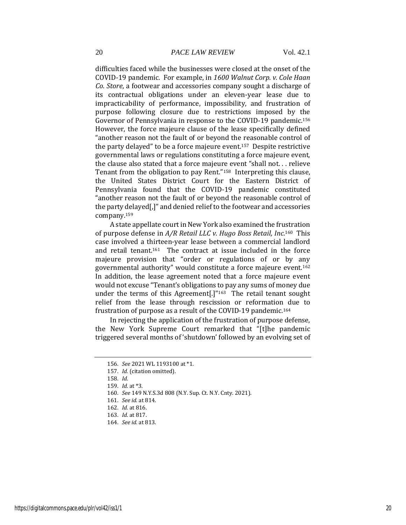difficulties faced while the businesses were closed at the onset of the COVID-19 pandemic. For example, in *1600 Walnut Corp. v. Cole Haan Co. Store*, a footwear and accessories company sought a discharge of its contractual obligations under an eleven-year lease due to impracticability of performance, impossibility, and frustration of purpose following closure due to restrictions imposed by the Governor of Pennsylvania in response to the COVID-19 pandemic.<sup>156</sup> However, the force majeure clause of the lease specifically defined "another reason not the fault of or beyond the reasonable control of the party delayed" to be a force majeure event.157 Despite restrictive governmental laws or regulations constituting a force majeure event, the clause also stated that a force majeure event "shall not. . . relieve Tenant from the obligation to pay Rent."158 Interpreting this clause, the United States District Court for the Eastern District of Pennsylvania found that the COVID-19 pandemic constituted "another reason not the fault of or beyond the reasonable control of the party delayed[,]" and denied relief to the footwear and accessories company.<sup>159</sup>

A state appellate court in New York also examined the frustration of purpose defense in *A/R Retail LLC v. Hugo Boss Retail, Inc.*160 This case involved a thirteen-year lease between a commercial landlord and retail tenant.161 The contract at issue included in the force majeure provision that "order or regulations of or by any governmental authority" would constitute a force majeure event.<sup>162</sup> In addition, the lease agreement noted that a force majeure event would not excuse "Tenant's obligations to pay any sums of money due under the terms of this Agreement[.]"<sup>163</sup> The retail tenant sought relief from the lease through rescission or reformation due to frustration of purpose as a result of the COVID-19 pandemic.<sup>164</sup>

In rejecting the application of the frustration of purpose defense, the New York Supreme Court remarked that "[t]he pandemic triggered several months of 'shutdown' followed by an evolving set of

157*. Id.* (citation omitted).

<sup>156</sup>*. See* 2021 WL 1193100 at \*1.

<sup>158</sup>*. Id.*

<sup>159</sup>*. Id.* at \*3.

<sup>160</sup>*. See* 149 N.Y.S.3d 808 (N.Y. Sup. Ct. N.Y. Cnty. 2021).

<sup>161</sup>*. See id.* at 814.

<sup>162</sup>*. Id.* at 816.

<sup>163</sup>*. Id.* at 817.

<sup>164</sup>*. See id.* at 813.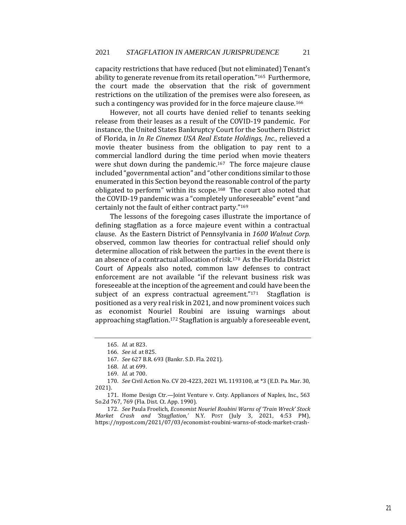capacity restrictions that have reduced (but not eliminated) Tenant's ability to generate revenue from its retail operation."165 Furthermore, the court made the observation that the risk of government restrictions on the utilization of the premises were also foreseen, as such a contingency was provided for in the force majeure clause.<sup>166</sup>

However, not all courts have denied relief to tenants seeking release from their leases as a result of the COVID-19 pandemic. For instance, the United States Bankruptcy Court for the Southern District of Florida, in *In Re Cinemex USA Real Estate Holdings, Inc.*, relieved a movie theater business from the obligation to pay rent to a commercial landlord during the time period when movie theaters were shut down during the pandemic.<sup>167</sup> The force majeure clause included "governmental action" and "other conditions similar to those enumerated in this Section beyond the reasonable control of the party obligated to perform" within its scope.168 The court also noted that the COVID-19 pandemic was a "completely unforeseeable" event "and certainly not the fault of either contract party."<sup>169</sup>

The lessons of the foregoing cases illustrate the importance of defining stagflation as a force majeure event within a contractual clause. As the Eastern District of Pennsylvania in *1600 Walnut Corp.* observed, common law theories for contractual relief should only determine allocation of risk between the parties in the event there is an absence of a contractual allocation of risk.170 As the Florida District Court of Appeals also noted, common law defenses to contract enforcement are not available "if the relevant business risk was foreseeable at the inception of the agreement and could have been the subject of an express contractual agreement."<sup>171</sup> Stagflation is positioned as a very real risk in 2021, and now prominent voices such as economist Nouriel Roubini are issuing warnings about approaching stagflation.<sup>172</sup> Stagflation is arguably a foreseeable event,

<sup>165</sup>*. Id.* at 823.

<sup>166</sup>*. See id.* at 825.

<sup>167</sup>*. See* 627 B.R. 693 (Bankr. S.D. Fla. 2021).

<sup>168</sup>*. Id.* at 699.

<sup>169</sup>*. Id.* at 700.

<sup>170</sup>*. See* Civil Action No. CV 20-4223, 2021 WL 1193100, at \*3 (E.D. Pa. Mar. 30, 2021).

<sup>171.</sup> Home Design Ctr.—Joint Venture v. Cnty. Appliances of Naples, Inc., 563 So.2d 767, 769 (Fla. Dist. Ct. App. 1990).

<sup>172</sup>*. See* Paula Froelich, *Economist Nouriel Roubini Warns of 'Train Wreck' Stock Market Crash and 'Stagflation*,*'* N.Y. POST (July 3, 2021, 4:53 PM), https://nypost.com/2021/07/03/economist-roubini-warns-of-stock-market-crash-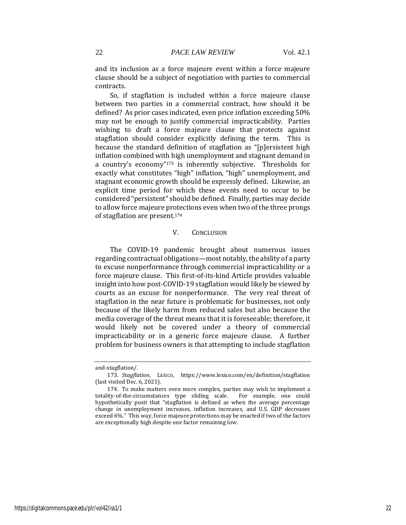and its inclusion as a force majeure event within a force majeure clause should be a subject of negotiation with parties to commercial contracts.

So, if stagflation is included within a force majeure clause between two parties in a commercial contract, how should it be defined? As prior cases indicated, even price inflation exceeding 50% may not be enough to justify commercial impracticability. Parties wishing to draft a force majeure clause that protects against stagflation should consider explicitly defining the term. This is because the standard definition of stagflation as "[p]ersistent high inflation combined with high unemployment and stagnant demand in a country's economy"<sup>173</sup> is inherently subjective. Thresholds for exactly what constitutes "high" inflation, "high" unemployment, and stagnant economic growth should be expressly defined. Likewise, an explicit time period for which these events need to occur to be considered "persistent" should be defined. Finally, parties may decide to allow force majeure protections even when two of the three prongs of stagflation are present.<sup>174</sup>

### <span id="page-22-0"></span>V. CONCLUSION

The COVID-19 pandemic brought about numerous issues regarding contractual obligations—most notably, the ability of a party to excuse nonperformance through commercial impracticability or a force majeure clause. This first-of-its-kind Article provides valuable insight into how post-COVID-19 stagflation would likely be viewed by courts as an excuse for nonperformance. The very real threat of stagflation in the near future is problematic for businesses, not only because of the likely harm from reduced sales but also because the media coverage of the threat means that it is foreseeable; therefore, it would likely not be covered under a theory of commercial impracticability or in a generic force majeure clause. A further problem for business owners is that attempting to include stagflation

and-stagflation/.

<sup>173</sup>*. Stagflation*, LEXICO, https://www.lexico.com/en/definition/stagflation (last visited Dec. 6, 2021).

<sup>174.</sup> To make matters even more complex, parties may wish to implement a totality-of-the-circumstances type sliding scale. For example, one could hypothetically posit that "stagflation is defined as when the average percentage change in unemployment increases, inflation increases, and U.S. GDP decreases exceed 6%." This way, force majeure protections may be enacted if two of the factors are exceptionally high despite one factor remaining low.